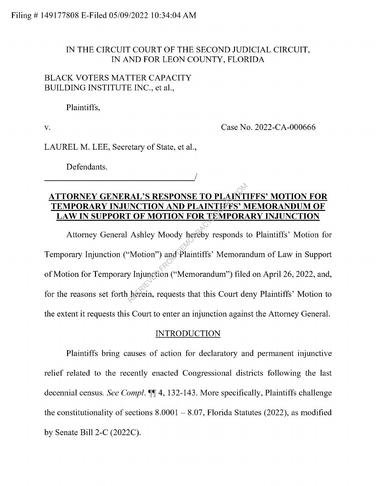#### IN THE CIRCUIT COURT OF THE SECOND JUDICIAL CIRCUIT, IN AND FOR LEON COUNTY, FLORIDA

#### BLACK VOTERS MATTER CAPACITY BUILDING INSTITUTE INC., et al.,

Plaintiffs,

V.

Case No. 2022-CA-000666

LAUREL M. LEE, Secretary of State, et al.,

<sup>I</sup>-------------------'

Defendants.

# **ATTORNEY GENERAL'S RESPONSE TO PLAINTIFFS' MOTION FOR TEMPORARY INJUNCTION AND PLAINTIFFS' MEMORANDUM OF LAW IN SUPPORT OF MOTION FOR TEMPORARY INJUNCTION**

Attorney General Ashley Moody hereby responds to Plaintiffs' Motion for Temporary Injunction ("Motion") and Plaintiffs' Memorandum of Law in Support of Motion for Temporary Injunction ("Memorandum") filed on April 26, 2022, and, for the reasons set forth herein, requests that this Court deny Plaintiffs' Motion to the extent it requests this Court to enter an injunction against the Attorney General. EXAL'S RESPONSE TO PLAINT<br>
INCTION AND PLAINTIFFS' M<br>
T OF MOTION FOR TEMPORA<br>
Ashley Moody hereby responds to<br>
"Motion") and Plaintiffs' Memorary<br>
Musician ("Memorandum") filed<br>
herein, requests that this Court de

### **INTRODUCTION**

Plaintiffs bring causes of action for declaratory and permanent injunctive relief related to the recently enacted Congressional districts following the last decennial census. *See Compl.*  $\P\P$ 4, 132-143. More specifically, Plaintiffs challenge the constitutionality of sections  $8.0001 - 8.07$ , Florida Statutes (2022), as modified by Senate Bill 2-C (2022C).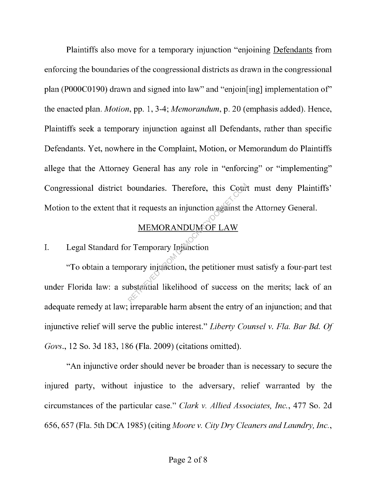Plaintiffs also move for a temporary injunction "enjoining Defendants from enforcing the boundaries of the congressional districts as drawn in the congressional plan (P000C0190) drawn and signed into law" and "enjoin[ing] implementation of' the enacted plan. *Motion*, pp. 1, 3-4; *Memorandum*, p. 20 (emphasis added). Hence, Plaintiffs seek a temporary injunction against all Defendants, rather than specific Defendants. Yet, nowhere in the Complaint, Motion, or Memorandum do Plaintiffs allege that the Attorney General has any role in "enforcing" or "implementing" Congressional district boundaries. Therefore, this Court must deny Plaintiffs' Motion to the extent that it requests an injunction against the Attorney General.

#### MEMORANDUM OF LAW

# I. Legal Standard for Temporary Injunction

"To obtain a temporary injunction, the petitioner must satisfy a four-part test under Florida law: a substantial likelihood of success on the merits; lack of an adequate remedy at law; irreparable harm absent the entry of an injunction; and that injunctive relief will serve the public interest." *Liberty Counsel v. Fla. Bar Bd. Of Govs.*, 12 So. 3d 183, 186 (Fla. 2009) (citations omitted). boundaries. Therefore, this Court<br>it it requests an injunction against the<br>MEMORANDUM OF LAW<br>r Temporary Injunction<br>porary injunction, the petitioner mundostantial likelihood of success or

"An injunctive order should never be broader than is necessary to secure the injured party, without injustice to the adversary, relief warranted by the circumstances of the particular case." *Clark v. Allied Associates, Inc.,* 477 So. 2d 656, 657 (Fla. 5th DCA 1985) ( citing *Afoore v. City Dry Cleaners and Laundry, Inc.,*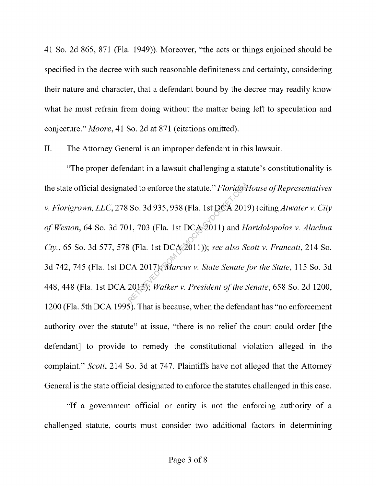41 So. 2d 865, 871 (Fla. 1949)). Moreover, "the acts or things enjoined should be specified in the decree with such reasonable definiteness and certainty, considering their nature and character, that a defendant bound by the decree may readily know what he must refrain from doing without the matter being left to speculation and conjecture." *Moore,* 41 So. 2d at 871 (citations omitted).

II. The Attorney General is an improper defendant in this lawsuit.

"The proper defendant in a lawsuit challenging a statute's constitutionality is the state official designated to enforce the statute." *Florida House of Representatives v. Florigrown, LLC,* 278 So. 3d 935,938 (Fla. 1st DCA 2019) ( citing *Atwater v. City of Weston,* 64 So. 3d 701, 703 (Fla. 1st DCA 2011) and *Haridolopolos v. Alachua Cty.,* 65 So. 3d 577, 578 (Fla. 1st DCA 2011)); *see also Scott v. Francati,* 214 So. 3d 742, 745 (Fla. 1st DCA 2017); *Marcus v. State Senate for the State,* 115 So. 3d 448,448 (Fla. 1st DCA 2013); *Walker v. President of the Senate,* 658 So. 2d 1200, 1200 (Fla. 5th DCA 1995). That is because, when the defendant has "no enforcement authority over the statute" at issue, "there is no relief the court could order [the defendant] to provide to remedy the constitutional violation alleged in the complaint." *Scott,* 214 So. 3d at 747. Plaintiffs have not alleged that the Attorney General is the state official designated to enforce the statutes challenged in this case. ted to enforce the statute." *Florida P*<br>So. 3d 935, 938 (Fla. 1st DCA 2019<br>1, 703 (Fla. 1st DCA 2011) and *H*<br>8 (Fla. 1st DCA 2011)); see also So<br>CA 2017) *Karcus v. State Senate* j<br>2013); *Walker v. President of the S* 

"If a government official or entity is not the enforcing authority of a challenged statute, courts must consider two additional factors in determining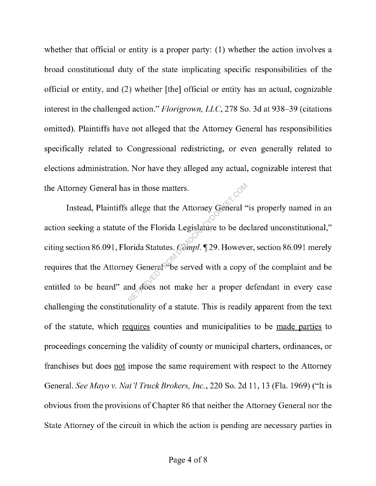whether that official or entity is a proper party: (1) whether the action involves a broad constitutional duty of the state implicating specific responsibilities of the official or entity, and (2) whether [the] official or entity has an actual, cognizable interest in the challenged action." *Florigrown, LLC,* 278 So. 3d at 938-39 (citations omitted). Plaintiffs have not alleged that the Attorney General has responsibilities specifically related to Congressional redistricting, or even generally related to elections administration. Nor have they alleged any actual, cognizable interest that the Attorney General has in those matters.

Instead, Plaintiffs allege that the Attorney General "is properly named in an action seeking a statute of the Florida Legislature to be declared unconstitutional," citing section 86.091, Florida Statutes. *Compl*. 129. However, section 86.091 merely requires that the Attorney General be served with a copy of the complaint and be entitled to be heard" and does not make her a proper defendant in every case challenging the constitutionality of a statute. This is readily apparent from the text of the statute, which requires counties and municipalities to be made parties to proceedings concerning the validity of county or municipal charters, ordinances, or franchises but does not impose the same requirement with respect to the Attorney General. *See Mayo v. Nat 'l Truck Brokers, Inc.,* 220 So. 2d 11, 13 (Fla. 1969) ("It is obvious from the provisions of Chapter 86 that neither the Attorney General nor the State Attorney of the circuit in which the action is pending are necessary parties in s in those matters.<br>
allege that the Attorney General "<br>
of the Florida Legislature to be deepride Statutes. Compl. 1 29. However,<br>
ey General "be served with a copy<br>
nd does not make her a proper complete.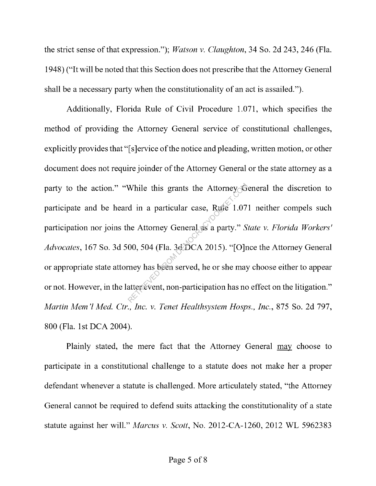the strict sense of that expression."); *Watson v. Claughton,* 34 So. 2d 243, 246 (Fla. 1948) ("It will be noted that this Section does not prescribe that the Attorney General shall be a necessary party when the constitutionality of an act is assailed.").

Additionally, Florida Rule of Civil Procedure 1.071, which specifies the method of providing the Attorney General service of constitutional challenges, explicitly provides that "[s]ervice of the notice and pleading, written motion, or other document does not require joinder of the Attorney General or the state attorney as a party to the action." "While this grants the Attorney General the discretion to participate and be heard in a particular case, Rule 1.071 neither compels such participation nor joins the Attorney General as a party." *State v. Florida Workers' Advocates,* 167 So. 3d 500, 504 (Fla. 3d DCA 2015). "[O]nce the Attorney General or appropriate state attorney has been served, he or she may choose either to appear or not. However, in the latter event, non-participation has no effect on the litigation." *Martin Mem 'l Med. Ctr., Inc. v. Tenet Healthsystem Hasps., Inc.,* 875 So. 2d 797, 800 (Fla. 1st DCA 2004). While this grants the Attorney of<br>d in a particular case, Rufe 1.07<br>he Attorney General as a party." S<br>00, 504 (Fla. 3d DCA 2015). "[O]r<br>mey has been served, he or she may<br>atter event, non-participation has no

Plainly stated, the mere fact that the Attorney General may choose to participate in a constitutional challenge to a statute does not make her a proper defendant whenever a statute is challenged. More articulately stated, "the Attorney General cannot be required to defend suits attacking the constitutionality of a state statute against her will." *Marcus v. Scott,* No. 2012-CA-1260, 2012 WL 5962383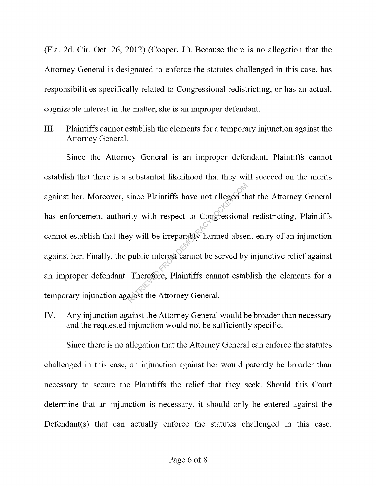(Fla. 2d. Cir. Oct. 26, 2012) (Cooper, J.). Because there is no allegation that the Attorney General is designated to enforce the statutes challenged in this case, has responsibilities specifically related to Congressional redistricting, or has an actual, cognizable interest in the matter, she is an improper defendant.

III. Plaintiffs cannot establish the elements for a temporary injunction against the Attorney General.

Since the Attorney General is an improper defendant, Plaintiffs cannot establish that there is a substantial likelihood that they will succeed on the merits against her. Moreover, since Plaintiffs have not alleged that the Attorney General has enforcement authority with respect to Congressional redistricting, Plaintiffs cannot establish that they will be irreparably harmed absent entry of an injunction against her. Finally, the public interest cannot be served by injunctive relief against an improper defendant. Therefore, Plaintiffs cannot establish the elements for a temporary injunction against the Attorney General. since Plaintiffs have not alleged the<br>ity with respect to Congressional<br>y will be irreparably harmed abser<br>public interest cannot be served by<br>Therefore, Plaintiffs cannot estat<br>ainst the Attorney General.

IV. Any injunction against the Attorney General would be broader than necessary and the requested injunction would not be sufficiently specific.

Since there is no allegation that the Attorney General can enforce the statutes challenged in this case, an injunction against her would patently be broader than necessary to secure the Plaintiffs the relief that they seek. Should this Court determine that an injunction is necessary, it should only be entered against the Defendant(s) that can actually enforce the statutes challenged in this case.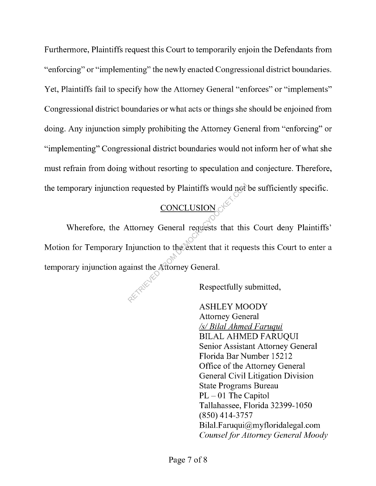Furthermore, Plaintiffs request this Court to temporarily enjoin the Defendants from "enforcing" or "implementing" the newly enacted Congressional district boundaries. Yet, Plaintiffs fail to specify how the Attorney General "enforces" or "implements" Congressional district boundaries or what acts or things she should be enjoined from doing. Any injunction simply prohibiting the Attorney General from "enforcing" or "implementing" Congressional district boundaries would not inform her of what she must refrain from doing without resorting to speculation and conjecture. Therefore, the temporary injunction requested by Plaintiffs would not be sufficiently specific.

# CONCLUSION

Wherefore, the Attorney General requests that this Court deny Plaintiffs' Motion for Temporary Injunction to the extent that it requests this Court to enter a temporary injunction against the Attorney General. requested by Plaintiffs would not<br>
CONCLUSION<br>
ttorney General requests that this<br>
injunction to the extent that it reque<br>
ainst the Attorney General.<br>
Respectfully s

Respectfully submitted,

ASHLEY MOODY Attorney General *Isl Bilal Ahmed F aruqui*  **BILAL AHMED FARUQUI** Senior Assistant Attorney General Florida Bar Number 15212 Office of the Attorney General General Civil Litigation Division State Programs Bureau  $PL - 01$  The Capitol Tallahassee, Florida 32399-1050 (850) 414-3757 Bilal.Faruqui@myfloridalegal.com *Counsel for Attorney General Moody*